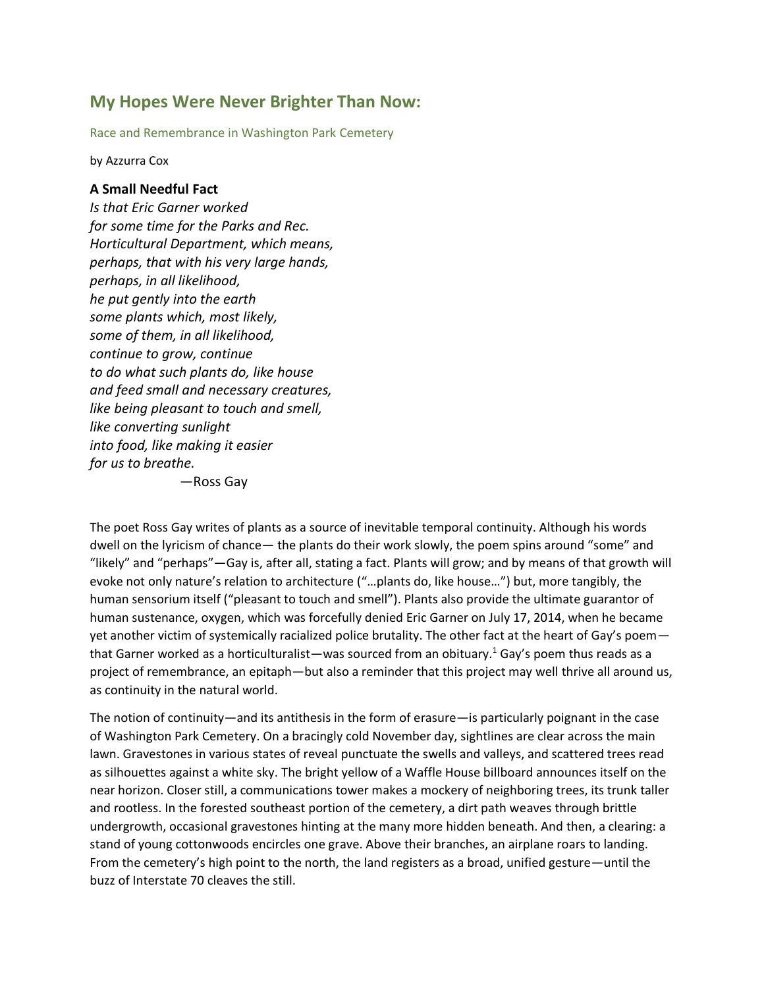## **My Hopes Were Never Brighter Than Now:**

Race and Remembrance in Washington Park Cemetery

by Azzurra Cox

## **A Small Needful Fact**

*Is that Eric Garner worked for some time for the Parks and Rec. Horticultural Department, which means, perhaps, that with his very large hands, perhaps, in all likelihood, he put gently into the earth some plants which, most likely, some of them, in all likelihood, continue to grow, continue to do what such plants do, like house and feed small and necessary creatures, like being pleasant to touch and smell, like converting sunlight into food, like making it easier for us to breathe.* 

—Ross Gay

The poet Ross Gay writes of plants as a source of inevitable temporal continuity. Although his words dwell on the lyricism of chance— the plants do their work slowly, the poem spins around "some" and "likely" and "perhaps"—Gay is, after all, stating a fact. Plants will grow; and by means of that growth will evoke not only nature's relation to architecture ("…plants do, like house…") but, more tangibly, the human sensorium itself ("pleasant to touch and smell"). Plants also provide the ultimate guarantor of human sustenance, oxygen, which was forcefully denied Eric Garner on July 17, 2014, when he became yet another victim of systemically racialized police brutality. The other fact at the heart of Gay's poem that Garner worked as a horticulturalist—was sourced from an obituary.<sup>1</sup> Gay's poem thus reads as a project of remembrance, an epitaph—but also a reminder that this project may well thrive all around us, as continuity in the natural world.

The notion of continuity—and its antithesis in the form of erasure—is particularly poignant in the case of Washington Park Cemetery. On a bracingly cold November day, sightlines are clear across the main lawn. Gravestones in various states of reveal punctuate the swells and valleys, and scattered trees read as silhouettes against a white sky. The bright yellow of a Waffle House billboard announces itself on the near horizon. Closer still, a communications tower makes a mockery of neighboring trees, its trunk taller and rootless. In the forested southeast portion of the cemetery, a dirt path weaves through brittle undergrowth, occasional gravestones hinting at the many more hidden beneath. And then, a clearing: a stand of young cottonwoods encircles one grave. Above their branches, an airplane roars to landing. From the cemetery's high point to the north, the land registers as a broad, unified gesture—until the buzz of Interstate 70 cleaves the still.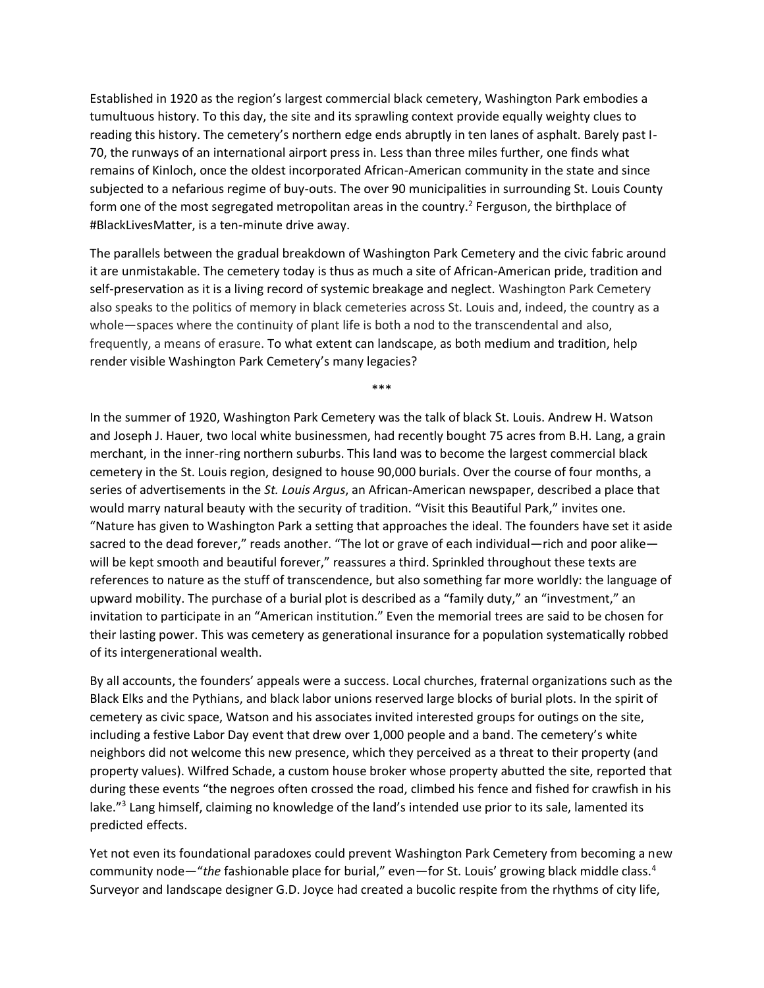Established in 1920 as the region's largest commercial black cemetery, Washington Park embodies a tumultuous history. To this day, the site and its sprawling context provide equally weighty clues to reading this history. The cemetery's northern edge ends abruptly in ten lanes of asphalt. Barely past I-70, the runways of an international airport press in. Less than three miles further, one finds what remains of Kinloch, once the oldest incorporated African-American community in the state and since subjected to a nefarious regime of buy-outs. The over 90 municipalities in surrounding St. Louis County form one of the most segregated metropolitan areas in the country.<sup>2</sup> Ferguson, the birthplace of #BlackLivesMatter, is a ten-minute drive away.

The parallels between the gradual breakdown of Washington Park Cemetery and the civic fabric around it are unmistakable. The cemetery today is thus as much a site of African-American pride, tradition and self-preservation as it is a living record of systemic breakage and neglect. Washington Park Cemetery also speaks to the politics of memory in black cemeteries across St. Louis and, indeed, the country as a whole—spaces where the continuity of plant life is both a nod to the transcendental and also, frequently, a means of erasure. To what extent can landscape, as both medium and tradition, help render visible Washington Park Cemetery's many legacies?

\*\*\*

In the summer of 1920, Washington Park Cemetery was the talk of black St. Louis. Andrew H. Watson and Joseph J. Hauer, two local white businessmen, had recently bought 75 acres from B.H. Lang, a grain merchant, in the inner-ring northern suburbs. This land was to become the largest commercial black cemetery in the St. Louis region, designed to house 90,000 burials. Over the course of four months, a series of advertisements in the *St. Louis Argus*, an African-American newspaper, described a place that would marry natural beauty with the security of tradition*.* "Visit this Beautiful Park," invites one. "Nature has given to Washington Park a setting that approaches the ideal. The founders have set it aside sacred to the dead forever," reads another. "The lot or grave of each individual—rich and poor alike will be kept smooth and beautiful forever," reassures a third. Sprinkled throughout these texts are references to nature as the stuff of transcendence, but also something far more worldly: the language of upward mobility. The purchase of a burial plot is described as a "family duty," an "investment," an invitation to participate in an "American institution." Even the memorial trees are said to be chosen for their lasting power. This was cemetery as generational insurance for a population systematically robbed of its intergenerational wealth.

By all accounts, the founders' appeals were a success. Local churches, fraternal organizations such as the Black Elks and the Pythians, and black labor unions reserved large blocks of burial plots. In the spirit of cemetery as civic space, Watson and his associates invited interested groups for outings on the site, including a festive Labor Day event that drew over 1,000 people and a band. The cemetery's white neighbors did not welcome this new presence, which they perceived as a threat to their property (and property values). Wilfred Schade, a custom house broker whose property abutted the site, reported that during these events "the negroes often crossed the road, climbed his fence and fished for crawfish in his lake."<sup>3</sup> Lang himself, claiming no knowledge of the land's intended use prior to its sale, lamented its predicted effects.

Yet not even its foundational paradoxes could prevent Washington Park Cemetery from becoming a new community node—"*the* fashionable place for burial," even—for St. Louis' growing black middle class.<sup>4</sup> Surveyor and landscape designer G.D. Joyce had created a bucolic respite from the rhythms of city life,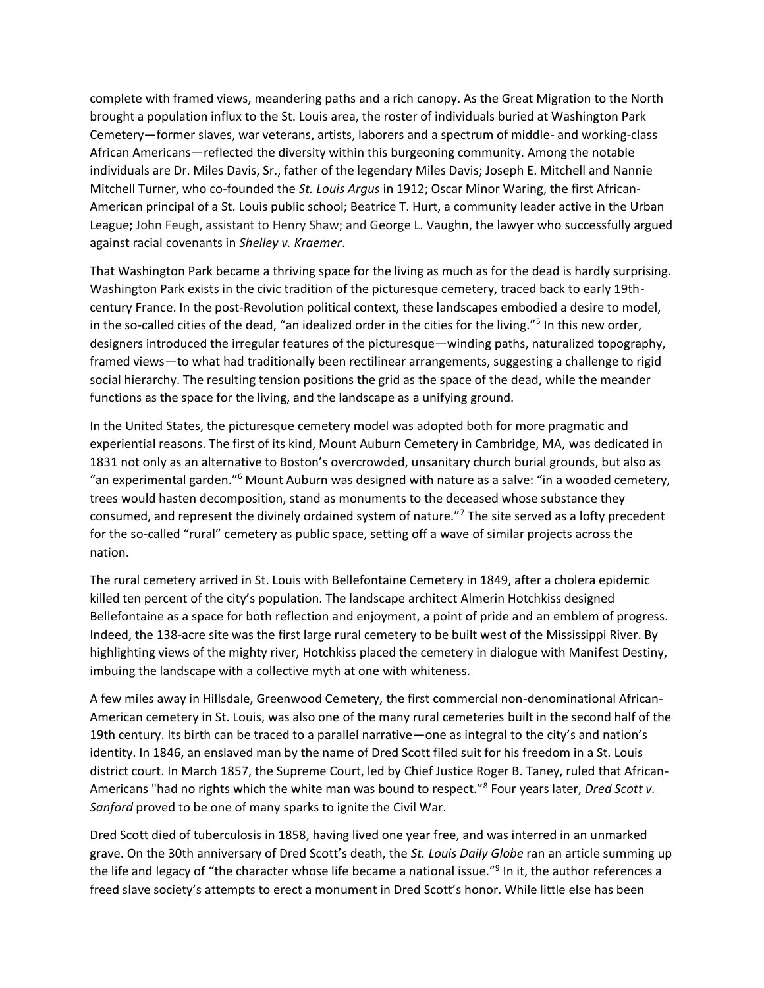complete with framed views, meandering paths and a rich canopy. As the Great Migration to the North brought a population influx to the St. Louis area, the roster of individuals buried at Washington Park Cemetery—former slaves, war veterans, artists, laborers and a spectrum of middle- and working-class African Americans—reflected the diversity within this burgeoning community. Among the notable individuals are Dr. Miles Davis, Sr., father of the legendary Miles Davis; Joseph E. Mitchell and Nannie Mitchell Turner, who co-founded the *St. Louis Argus* in 1912; Oscar Minor Waring, the first African-American principal of a St. Louis public school; Beatrice T. Hurt, a community leader active in the Urban League; John Feugh, assistant to Henry Shaw; and George L. Vaughn, the lawyer who successfully argued against racial covenants in *Shelley v. Kraemer*.

That Washington Park became a thriving space for the living as much as for the dead is hardly surprising. Washington Park exists in the civic tradition of the picturesque cemetery, traced back to early 19thcentury France. In the post-Revolution political context, these landscapes embodied a desire to model, in the so-called cities of the dead, "an idealized order in the cities for the living."<sup>5</sup> In this new order, designers introduced the irregular features of the picturesque—winding paths, naturalized topography, framed views—to what had traditionally been rectilinear arrangements, suggesting a challenge to rigid social hierarchy. The resulting tension positions the grid as the space of the dead, while the meander functions as the space for the living, and the landscape as a unifying ground.

In the United States, the picturesque cemetery model was adopted both for more pragmatic and experiential reasons. The first of its kind, Mount Auburn Cemetery in Cambridge, MA, was dedicated in 1831 not only as an alternative to Boston's overcrowded, unsanitary church burial grounds, but also as "an experimental garden."<sup>6</sup> Mount Auburn was designed with nature as a salve: "in a wooded cemetery, trees would hasten decomposition, stand as monuments to the deceased whose substance they consumed, and represent the divinely ordained system of nature."<sup>7</sup> The site served as a lofty precedent for the so-called "rural" cemetery as public space, setting off a wave of similar projects across the nation.

The rural cemetery arrived in St. Louis with Bellefontaine Cemetery in 1849, after a cholera epidemic killed ten percent of the city's population. The landscape architect Almerin Hotchkiss designed Bellefontaine as a space for both reflection and enjoyment, a point of pride and an emblem of progress. Indeed, the 138-acre site was the first large rural cemetery to be built west of the Mississippi River. By highlighting views of the mighty river, Hotchkiss placed the cemetery in dialogue with Manifest Destiny, imbuing the landscape with a collective myth at one with whiteness.

A few miles away in Hillsdale, Greenwood Cemetery, the first commercial non-denominational African-American cemetery in St. Louis, was also one of the many rural cemeteries built in the second half of the 19th century. Its birth can be traced to a parallel narrative—one as integral to the city's and nation's identity. In 1846, an enslaved man by the name of Dred Scott filed suit for his freedom in a St. Louis district court. In March 1857, the Supreme Court, led by Chief Justice Roger B. Taney, ruled that African-Americans "had no rights which the white man was bound to respect."<sup>8</sup> Four years later, *Dred Scott v. Sanford* proved to be one of many sparks to ignite the Civil War.

Dred Scott died of tuberculosis in 1858, having lived one year free, and was interred in an unmarked grave. On the 30th anniversary of Dred Scott's death, the *St. Louis Daily Globe* ran an article summing up the life and legacy of "the character whose life became a national issue."<sup>9</sup> In it, the author references a freed slave society's attempts to erect a monument in Dred Scott's honor. While little else has been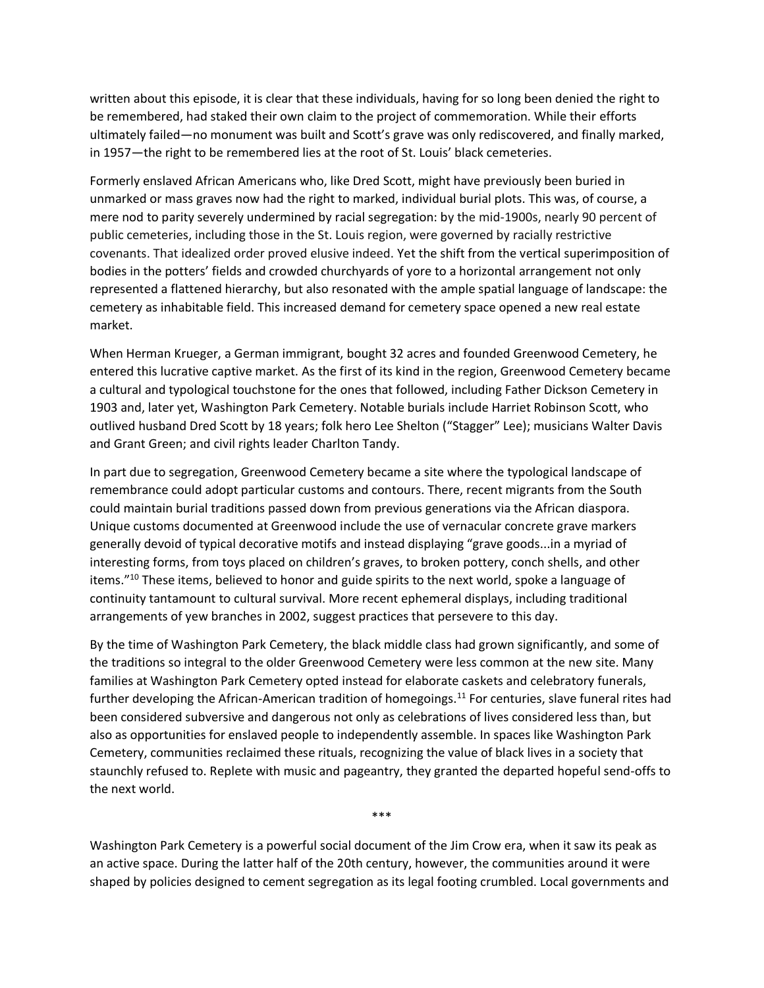written about this episode, it is clear that these individuals, having for so long been denied the right to be remembered, had staked their own claim to the project of commemoration. While their efforts ultimately failed—no monument was built and Scott's grave was only rediscovered, and finally marked, in 1957—the right to be remembered lies at the root of St. Louis' black cemeteries.

Formerly enslaved African Americans who, like Dred Scott, might have previously been buried in unmarked or mass graves now had the right to marked, individual burial plots. This was, of course, a mere nod to parity severely undermined by racial segregation: by the mid-1900s, nearly 90 percent of public cemeteries, including those in the St. Louis region, were governed by racially restrictive covenants. That idealized order proved elusive indeed. Yet the shift from the vertical superimposition of bodies in the potters' fields and crowded churchyards of yore to a horizontal arrangement not only represented a flattened hierarchy, but also resonated with the ample spatial language of landscape: the cemetery as inhabitable field. This increased demand for cemetery space opened a new real estate market.

When Herman Krueger, a German immigrant, bought 32 acres and founded Greenwood Cemetery, he entered this lucrative captive market. As the first of its kind in the region, Greenwood Cemetery became a cultural and typological touchstone for the ones that followed, including Father Dickson Cemetery in 1903 and, later yet, Washington Park Cemetery. Notable burials include Harriet Robinson Scott, who outlived husband Dred Scott by 18 years; folk hero Lee Shelton ("Stagger" Lee); musicians Walter Davis and Grant Green; and civil rights leader Charlton Tandy.

In part due to segregation, Greenwood Cemetery became a site where the typological landscape of remembrance could adopt particular customs and contours. There, recent migrants from the South could maintain burial traditions passed down from previous generations via the African diaspora. Unique customs documented at Greenwood include the use of vernacular concrete grave markers generally devoid of typical decorative motifs and instead displaying "grave goods...in a myriad of interesting forms, from toys placed on children's graves, to broken pottery, conch shells, and other items."<sup>10</sup> These items, believed to honor and guide spirits to the next world, spoke a language of continuity tantamount to cultural survival. More recent ephemeral displays, including traditional arrangements of yew branches in 2002, suggest practices that persevere to this day.

By the time of Washington Park Cemetery, the black middle class had grown significantly, and some of the traditions so integral to the older Greenwood Cemetery were less common at the new site. Many families at Washington Park Cemetery opted instead for elaborate caskets and celebratory funerals, further developing the African-American tradition of homegoings.<sup>11</sup> For centuries, slave funeral rites had been considered subversive and dangerous not only as celebrations of lives considered less than, but also as opportunities for enslaved people to independently assemble. In spaces like Washington Park Cemetery, communities reclaimed these rituals, recognizing the value of black lives in a society that staunchly refused to. Replete with music and pageantry, they granted the departed hopeful send-offs to the next world.

Washington Park Cemetery is a powerful social document of the Jim Crow era, when it saw its peak as an active space. During the latter half of the 20th century, however, the communities around it were shaped by policies designed to cement segregation as its legal footing crumbled. Local governments and

\*\*\*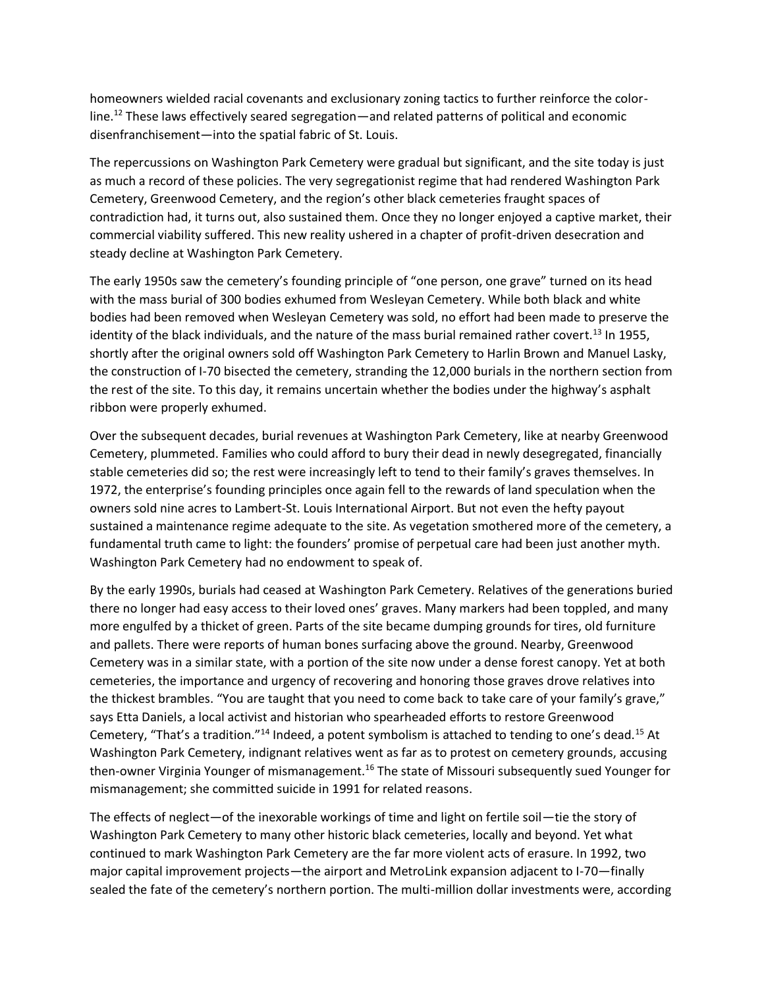homeowners wielded racial covenants and exclusionary zoning tactics to further reinforce the colorline.<sup>12</sup> These laws effectively seared segregation—and related patterns of political and economic disenfranchisement—into the spatial fabric of St. Louis.

The repercussions on Washington Park Cemetery were gradual but significant, and the site today is just as much a record of these policies. The very segregationist regime that had rendered Washington Park Cemetery, Greenwood Cemetery, and the region's other black cemeteries fraught spaces of contradiction had, it turns out, also sustained them. Once they no longer enjoyed a captive market, their commercial viability suffered. This new reality ushered in a chapter of profit-driven desecration and steady decline at Washington Park Cemetery.

The early 1950s saw the cemetery's founding principle of "one person, one grave" turned on its head with the mass burial of 300 bodies exhumed from Wesleyan Cemetery. While both black and white bodies had been removed when Wesleyan Cemetery was sold, no effort had been made to preserve the identity of the black individuals, and the nature of the mass burial remained rather covert.<sup>13</sup> In 1955, shortly after the original owners sold off Washington Park Cemetery to Harlin Brown and Manuel Lasky, the construction of I-70 bisected the cemetery, stranding the 12,000 burials in the northern section from the rest of the site. To this day, it remains uncertain whether the bodies under the highway's asphalt ribbon were properly exhumed.

Over the subsequent decades, burial revenues at Washington Park Cemetery, like at nearby Greenwood Cemetery, plummeted. Families who could afford to bury their dead in newly desegregated, financially stable cemeteries did so; the rest were increasingly left to tend to their family's graves themselves. In 1972, the enterprise's founding principles once again fell to the rewards of land speculation when the owners sold nine acres to Lambert-St. Louis International Airport. But not even the hefty payout sustained a maintenance regime adequate to the site. As vegetation smothered more of the cemetery, a fundamental truth came to light: the founders' promise of perpetual care had been just another myth. Washington Park Cemetery had no endowment to speak of.

By the early 1990s, burials had ceased at Washington Park Cemetery. Relatives of the generations buried there no longer had easy access to their loved ones' graves. Many markers had been toppled, and many more engulfed by a thicket of green. Parts of the site became dumping grounds for tires, old furniture and pallets. There were reports of human bones surfacing above the ground. Nearby, Greenwood Cemetery was in a similar state, with a portion of the site now under a dense forest canopy. Yet at both cemeteries, the importance and urgency of recovering and honoring those graves drove relatives into the thickest brambles. "You are taught that you need to come back to take care of your family's grave," says Etta Daniels, a local activist and historian who spearheaded efforts to restore Greenwood Cemetery, "That's a tradition."<sup>14</sup> Indeed, a potent symbolism is attached to tending to one's dead.<sup>15</sup> At Washington Park Cemetery, indignant relatives went as far as to protest on cemetery grounds, accusing then-owner Virginia Younger of mismanagement.<sup>16</sup> The state of Missouri subsequently sued Younger for mismanagement; she committed suicide in 1991 for related reasons.

The effects of neglect—of the inexorable workings of time and light on fertile soil—tie the story of Washington Park Cemetery to many other historic black cemeteries, locally and beyond. Yet what continued to mark Washington Park Cemetery are the far more violent acts of erasure. In 1992, two major capital improvement projects—the airport and MetroLink expansion adjacent to I-70—finally sealed the fate of the cemetery's northern portion. The multi-million dollar investments were, according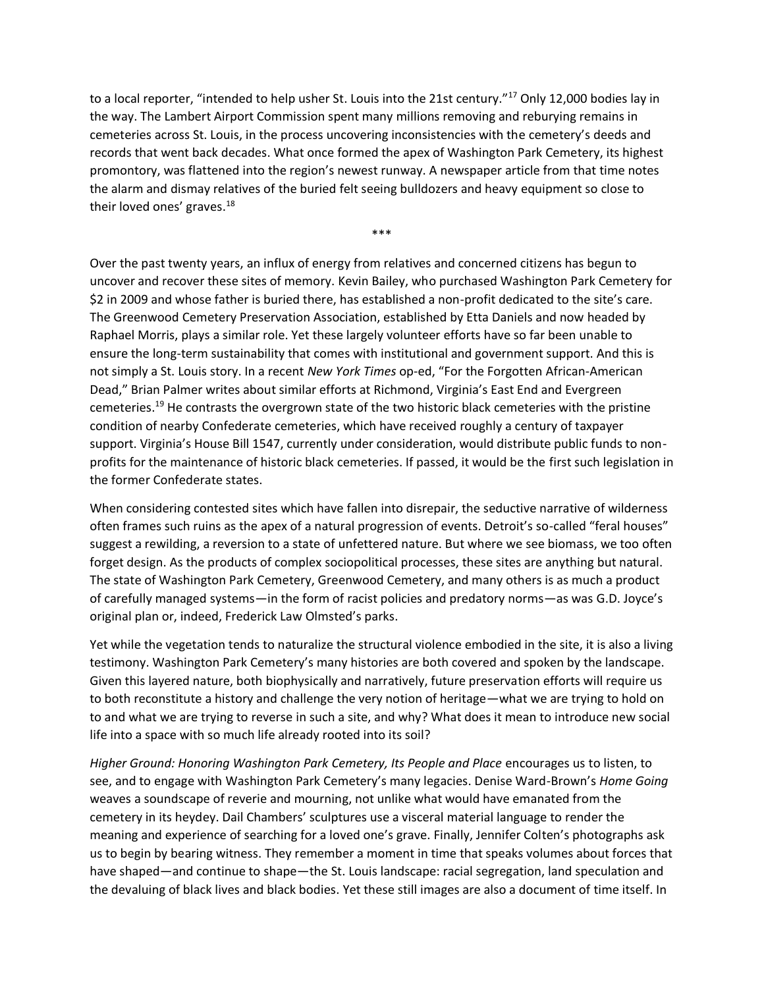to a local reporter, "intended to help usher St. Louis into the 21st century."<sup>17</sup> Only 12,000 bodies lay in the way. The Lambert Airport Commission spent many millions removing and reburying remains in cemeteries across St. Louis, in the process uncovering inconsistencies with the cemetery's deeds and records that went back decades. What once formed the apex of Washington Park Cemetery, its highest promontory, was flattened into the region's newest runway. A newspaper article from that time notes the alarm and dismay relatives of the buried felt seeing bulldozers and heavy equipment so close to their loved ones' graves.<sup>18</sup>

\*\*\*

Over the past twenty years, an influx of energy from relatives and concerned citizens has begun to uncover and recover these sites of memory. Kevin Bailey, who purchased Washington Park Cemetery for \$2 in 2009 and whose father is buried there, has established a non-profit dedicated to the site's care. The Greenwood Cemetery Preservation Association, established by Etta Daniels and now headed by Raphael Morris, plays a similar role. Yet these largely volunteer efforts have so far been unable to ensure the long-term sustainability that comes with institutional and government support. And this is not simply a St. Louis story. In a recent *New York Times* op-ed, "For the Forgotten African-American Dead," Brian Palmer writes about similar efforts at Richmond, Virginia's East End and Evergreen cemeteries.<sup>19</sup> He contrasts the overgrown state of the two historic black cemeteries with the pristine condition of nearby Confederate cemeteries, which have received roughly a century of taxpayer support. Virginia's House Bill 1547, currently under consideration, would distribute public funds to nonprofits for the maintenance of historic black cemeteries. If passed, it would be the first such legislation in the former Confederate states.

When considering contested sites which have fallen into disrepair, the seductive narrative of wilderness often frames such ruins as the apex of a natural progression of events. Detroit's so-called "feral houses" suggest a rewilding, a reversion to a state of unfettered nature. But where we see biomass, we too often forget design. As the products of complex sociopolitical processes, these sites are anything but natural. The state of Washington Park Cemetery, Greenwood Cemetery, and many others is as much a product of carefully managed systems—in the form of racist policies and predatory norms—as was G.D. Joyce's original plan or, indeed, Frederick Law Olmsted's parks.

Yet while the vegetation tends to naturalize the structural violence embodied in the site, it is also a living testimony. Washington Park Cemetery's many histories are both covered and spoken by the landscape. Given this layered nature, both biophysically and narratively, future preservation efforts will require us to both reconstitute a history and challenge the very notion of heritage—what we are trying to hold on to and what we are trying to reverse in such a site, and why? What does it mean to introduce new social life into a space with so much life already rooted into its soil?

*Higher Ground: Honoring Washington Park Cemetery, Its People and Place* encourages us to listen, to see, and to engage with Washington Park Cemetery's many legacies. Denise Ward-Brown's *Home Going* weaves a soundscape of reverie and mourning, not unlike what would have emanated from the cemetery in its heydey. Dail Chambers' sculptures use a visceral material language to render the meaning and experience of searching for a loved one's grave. Finally, Jennifer Colten's photographs ask us to begin by bearing witness. They remember a moment in time that speaks volumes about forces that have shaped—and continue to shape—the St. Louis landscape: racial segregation, land speculation and the devaluing of black lives and black bodies. Yet these still images are also a document of time itself. In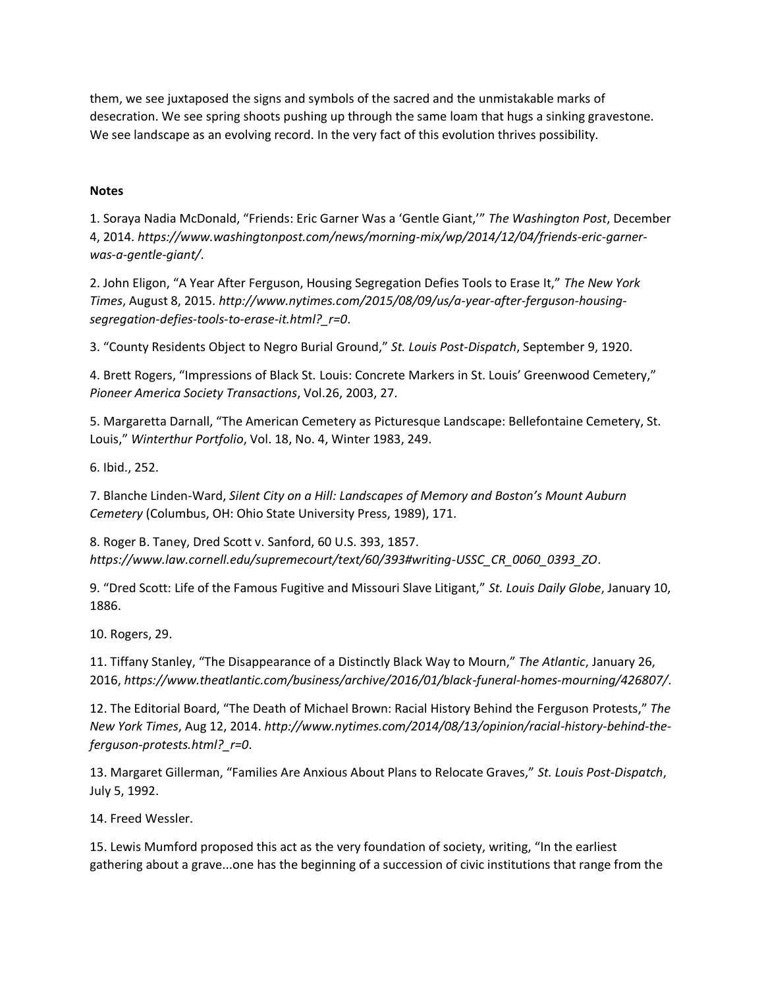them, we see juxtaposed the signs and symbols of the sacred and the unmistakable marks of desecration. We see spring shoots pushing up through the same loam that hugs a sinking gravestone. We see landscape as an evolving record. In the very fact of this evolution thrives possibility.

## **Notes**

1. Soraya Nadia McDonald, "Friends: Eric Garner Was a 'Gentle Giant,'" *The Washington Post*, December 4, 2014. *https://www.washingtonpost.com/news/morning-mix/wp/2014/12/04/friends-eric-garnerwas-a-gentle-giant/*.

2. John Eligon, "A Year After Ferguson, Housing Segregation Defies Tools to Erase It," *The New York Times*, August 8, 2015. *http://www.nytimes.com/2015/08/09/us/a-year-after-ferguson-housingsegregation-defies-tools-to-erase-it.html?\_r=0*.

3. "County Residents Object to Negro Burial Ground," *St. Louis Post-Dispatch*, September 9, 1920.

4. Brett Rogers, "Impressions of Black St. Louis: Concrete Markers in St. Louis' Greenwood Cemetery," *Pioneer America Society Transactions*, Vol.26, 2003, 27.

5. Margaretta Darnall, "The American Cemetery as Picturesque Landscape: Bellefontaine Cemetery, St. Louis," *Winterthur Portfolio*, Vol. 18, No. 4, Winter 1983, 249.

6. Ibid., 252.

7. Blanche Linden-Ward, *Silent City on a Hill: Landscapes of Memory and Boston's Mount Auburn Cemetery* (Columbus, OH: Ohio State University Press, 1989), 171.

8. Roger B. Taney, Dred Scott v. Sanford, 60 U.S. 393, 1857. *https://www.law.cornell.edu/supremecourt/text/60/393#writing-USSC\_CR\_0060\_0393\_ZO*.

9. "Dred Scott: Life of the Famous Fugitive and Missouri Slave Litigant," *St. Louis Daily Globe*, January 10, 1886.

10. Rogers, 29.

11. Tiffany Stanley, "The Disappearance of a Distinctly Black Way to Mourn," *The Atlantic*, January 26, 2016, *https://www.theatlantic.com/business/archive/2016/01/black-funeral-homes-mourning/426807/*.

12. The Editorial Board, "The Death of Michael Brown: Racial History Behind the Ferguson Protests," *The New York Times*, Aug 12, 2014. *http://www.nytimes.com/2014/08/13/opinion/racial-history-behind-theferguson-protests.html?\_r=0*.

13. Margaret Gillerman, "Families Are Anxious About Plans to Relocate Graves," *St. Louis Post-Dispatch*, July 5, 1992.

14. Freed Wessler.

15. Lewis Mumford proposed this act as the very foundation of society, writing, "In the earliest gathering about a grave...one has the beginning of a succession of civic institutions that range from the